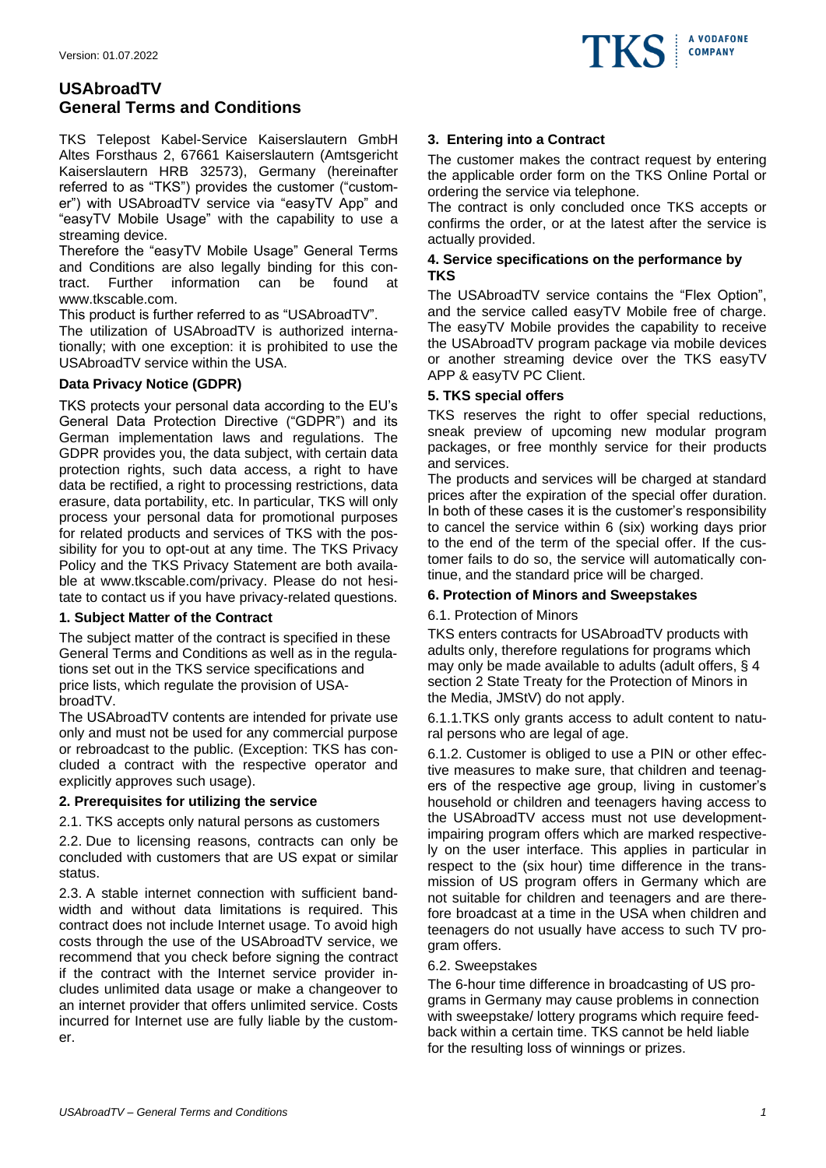# **USAbroadTV General Terms and Conditions**

TKS Telepost Kabel-Service Kaiserslautern GmbH Altes Forsthaus 2, 67661 Kaiserslautern (Amtsgericht Kaiserslautern HRB 32573), Germany (hereinafter referred to as "TKS") provides the customer ("customer") with USAbroadTV service via "easyTV App" and "easyTV Mobile Usage" with the capability to use a streaming device.

Therefore the "easyTV Mobile Usage" General Terms and Conditions are also legally binding for this contract. Further information can be found at www.tkscable.com.

This product is further referred to as "USAbroadTV".

The utilization of USAbroadTV is authorized internationally; with one exception: it is prohibited to use the USAbroadTV service within the USA.

# **Data Privacy Notice (GDPR)**

TKS protects your personal data according to the EU's General Data Protection Directive ("GDPR") and its German implementation laws and regulations. The GDPR provides you, the data subject, with certain data protection rights, such data access, a right to have data be rectified, a right to processing restrictions, data erasure, data portability, etc. In particular, TKS will only process your personal data for promotional purposes for related products and services of TKS with the possibility for you to opt-out at any time. The TKS Privacy Policy and the TKS Privacy Statement are both available at www.tkscable.com/privacy. Please do not hesitate to contact us if you have privacy-related questions.

#### **1. Subject Matter of the Contract**

The subject matter of the contract is specified in these General Terms and Conditions as well as in the regulations set out in the TKS service specifications and price lists, which regulate the provision of USAbroadTV.

The USAbroadTV contents are intended for private use only and must not be used for any commercial purpose or rebroadcast to the public. (Exception: TKS has concluded a contract with the respective operator and explicitly approves such usage).

#### **2. Prerequisites for utilizing the service**

2.1. TKS accepts only natural persons as customers

2.2. Due to licensing reasons, contracts can only be concluded with customers that are US expat or similar status.

2.3. A stable internet connection with sufficient bandwidth and without data limitations is required. This contract does not include Internet usage. To avoid high costs through the use of the USAbroadTV service, we recommend that you check before signing the contract if the contract with the Internet service provider includes unlimited data usage or make a changeover to an internet provider that offers unlimited service. Costs incurred for Internet use are fully liable by the customer.



## **3. Entering into a Contract**

The customer makes the contract request by entering the applicable order form on the TKS Online Portal or ordering the service via telephone.

The contract is only concluded once TKS accepts or confirms the order, or at the latest after the service is actually provided.

# **4. Service specifications on the performance by TKS**

The USAbroadTV service contains the "Flex Option", and the service called easyTV Mobile free of charge. The easyTV Mobile provides the capability to receive the USAbroadTV program package via mobile devices or another streaming device over the TKS easyTV APP & easyTV PC Client.

# **5. TKS special offers**

TKS reserves the right to offer special reductions, sneak preview of upcoming new modular program packages, or free monthly service for their products and services.

The products and services will be charged at standard prices after the expiration of the special offer duration. In both of these cases it is the customer's responsibility to cancel the service within 6 (six) working days prior to the end of the term of the special offer. If the customer fails to do so, the service will automatically continue, and the standard price will be charged.

# **6. Protection of Minors and Sweepstakes**

#### 6.1. Protection of Minors

TKS enters contracts for USAbroadTV products with adults only, therefore regulations for programs which may only be made available to adults (adult offers, § 4 section 2 State Treaty for the Protection of Minors in the Media, JMStV) do not apply.

6.1.1.TKS only grants access to adult content to natural persons who are legal of age.

6.1.2. Customer is obliged to use a PIN or other effective measures to make sure, that children and teenagers of the respective age group, living in customer's household or children and teenagers having access to the USAbroadTV access must not use developmentimpairing program offers which are marked respectively on the user interface. This applies in particular in respect to the (six hour) time difference in the transmission of US program offers in Germany which are not suitable for children and teenagers and are therefore broadcast at a time in the USA when children and teenagers do not usually have access to such TV program offers.

#### 6.2. Sweepstakes

The 6-hour time difference in broadcasting of US programs in Germany may cause problems in connection with sweepstake/ lottery programs which require feedback within a certain time. TKS cannot be held liable for the resulting loss of winnings or prizes.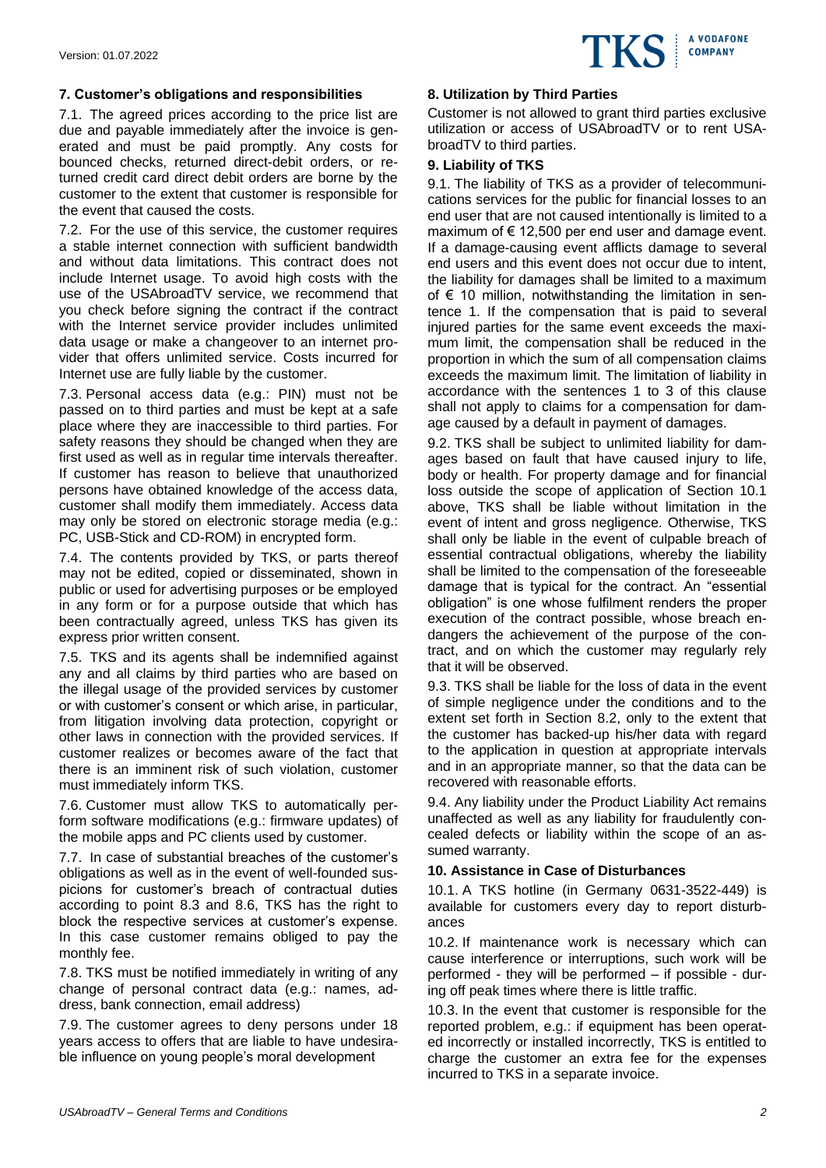

# **7. Customer's obligations and responsibilities**

7.1. The agreed prices according to the price list are due and payable immediately after the invoice is generated and must be paid promptly. Any costs for bounced checks, returned direct-debit orders, or returned credit card direct debit orders are borne by the customer to the extent that customer is responsible for the event that caused the costs.

7.2. For the use of this service, the customer requires a stable internet connection with sufficient bandwidth and without data limitations. This contract does not include Internet usage. To avoid high costs with the use of the USAbroadTV service, we recommend that you check before signing the contract if the contract with the Internet service provider includes unlimited data usage or make a changeover to an internet provider that offers unlimited service. Costs incurred for Internet use are fully liable by the customer.

7.3. Personal access data (e.g.: PIN) must not be passed on to third parties and must be kept at a safe place where they are inaccessible to third parties. For safety reasons they should be changed when they are first used as well as in regular time intervals thereafter. If customer has reason to believe that unauthorized persons have obtained knowledge of the access data, customer shall modify them immediately. Access data may only be stored on electronic storage media (e.g.: PC, USB-Stick and CD-ROM) in encrypted form.

7.4. The contents provided by TKS, or parts thereof may not be edited, copied or disseminated, shown in public or used for advertising purposes or be employed in any form or for a purpose outside that which has been contractually agreed, unless TKS has given its express prior written consent.

7.5. TKS and its agents shall be indemnified against any and all claims by third parties who are based on the illegal usage of the provided services by customer or with customer's consent or which arise, in particular, from litigation involving data protection, copyright or other laws in connection with the provided services. If customer realizes or becomes aware of the fact that there is an imminent risk of such violation, customer must immediately inform TKS.

7.6. Customer must allow TKS to automatically perform software modifications (e.g.: firmware updates) of the mobile apps and PC clients used by customer.

7.7. In case of substantial breaches of the customer's obligations as well as in the event of well-founded suspicions for customer's breach of contractual duties according to point 8.3 and 8.6, TKS has the right to block the respective services at customer's expense. In this case customer remains obliged to pay the monthly fee.

7.8. TKS must be notified immediately in writing of any change of personal contract data (e.g.: names, address, bank connection, email address)

7.9. The customer agrees to deny persons under 18 years access to offers that are liable to have undesirable influence on young people's moral development

# **8. Utilization by Third Parties**

Customer is not allowed to grant third parties exclusive utilization or access of USAbroadTV or to rent USAbroadTV to third parties.

# **9. Liability of TKS**

9.1. The liability of TKS as a provider of telecommunications services for the public for financial losses to an end user that are not caused intentionally is limited to a maximum of  $\epsilon$  12,500 per end user and damage event. If a damage-causing event afflicts damage to several end users and this event does not occur due to intent, the liability for damages shall be limited to a maximum of  $€$  10 million, notwithstanding the limitation in sentence 1. If the compensation that is paid to several injured parties for the same event exceeds the maximum limit, the compensation shall be reduced in the proportion in which the sum of all compensation claims exceeds the maximum limit. The limitation of liability in accordance with the sentences 1 to 3 of this clause shall not apply to claims for a compensation for damage caused by a default in payment of damages.

9.2. TKS shall be subject to unlimited liability for damages based on fault that have caused injury to life, body or health. For property damage and for financial loss outside the scope of application of Section 10.1 above, TKS shall be liable without limitation in the event of intent and gross negligence. Otherwise, TKS shall only be liable in the event of culpable breach of essential contractual obligations, whereby the liability shall be limited to the compensation of the foreseeable damage that is typical for the contract. An "essential obligation" is one whose fulfilment renders the proper execution of the contract possible, whose breach endangers the achievement of the purpose of the contract, and on which the customer may regularly rely that it will be observed.

9.3. TKS shall be liable for the loss of data in the event of simple negligence under the conditions and to the extent set forth in Section 8.2, only to the extent that the customer has backed-up his/her data with regard to the application in question at appropriate intervals and in an appropriate manner, so that the data can be recovered with reasonable efforts.

9.4. Any liability under the Product Liability Act remains unaffected as well as any liability for fraudulently concealed defects or liability within the scope of an assumed warranty.

#### **10. Assistance in Case of Disturbances**

10.1. A TKS hotline (in Germany 0631-3522-449) is available for customers every day to report disturbances

10.2. If maintenance work is necessary which can cause interference or interruptions, such work will be performed - they will be performed – if possible - during off peak times where there is little traffic.

10.3. In the event that customer is responsible for the reported problem, e.g.: if equipment has been operated incorrectly or installed incorrectly, TKS is entitled to charge the customer an extra fee for the expenses incurred to TKS in a separate invoice.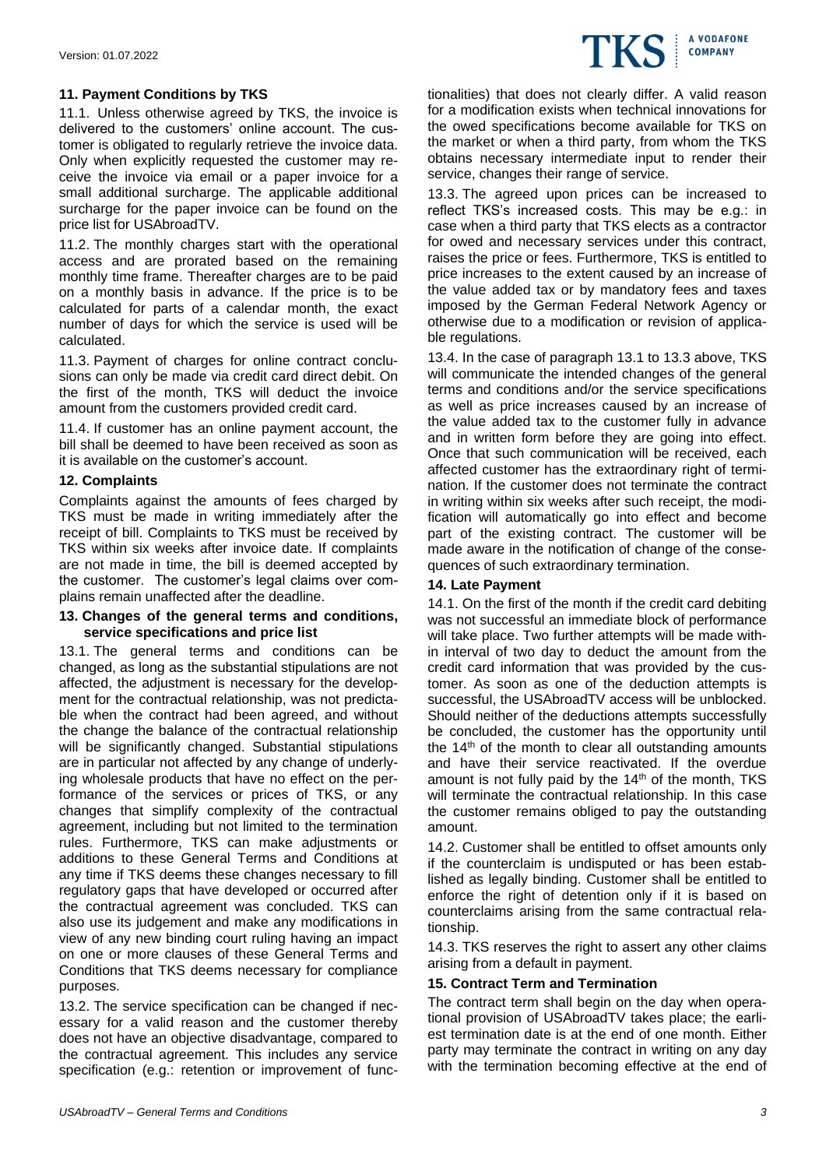# **11. Payment Conditions by TKS**

11.1. Unless otherwise agreed by TKS, the invoice is delivered to the customers' online account. The customer is obligated to regularly retrieve the invoice data. Only when explicitly requested the customer may receive the invoice via email or a paper invoice for a small additional surcharge. The applicable additional surcharge for the paper invoice can be found on the price list for USAbroadTV.

11.2. The monthly charges start with the operational access and are prorated based on the remaining monthly time frame. Thereafter charges are to be paid on a monthly basis in advance. If the price is to be calculated for parts of a calendar month, the exact number of days for which the service is used will be calculated.

11.3. Payment of charges for online contract conclusions can only be made via credit card direct debit. On the first of the month, TKS will deduct the invoice amount from the customers provided credit card.

11.4. If customer has an online payment account, the bill shall be deemed to have been received as soon as it is available on the customer's account.

#### **12. Complaints**

Complaints against the amounts of fees charged by TKS must be made in writing immediately after the receipt of bill. Complaints to TKS must be received by TKS within six weeks after invoice date. If complaints are not made in time, the bill is deemed accepted by the customer. The customer's legal claims over complains remain unaffected after the deadline.

#### **13. Changes of the general terms and conditions, service specifications and price list**

13.1. The general terms and conditions can be changed, as long as the substantial stipulations are not affected, the adjustment is necessary for the development for the contractual relationship, was not predictable when the contract had been agreed, and without the change the balance of the contractual relationship will be significantly changed. Substantial stipulations are in particular not affected by any change of underlying wholesale products that have no effect on the performance of the services or prices of TKS, or any changes that simplify complexity of the contractual agreement, including but not limited to the termination rules. Furthermore, TKS can make adjustments or additions to these General Terms and Conditions at any time if TKS deems these changes necessary to fill regulatory gaps that have developed or occurred after the contractual agreement was concluded. TKS can also use its judgement and make any modifications in view of any new binding court ruling having an impact on one or more clauses of these General Terms and Conditions that TKS deems necessary for compliance purposes.

13.2. The service specification can be changed if necessary for a valid reason and the customer thereby does not have an objective disadvantage, compared to the contractual agreement. This includes any service specification (e.g.: retention or improvement of functionalities) that does not clearly differ. A valid reason for a modification exists when technical innovations for the owed specifications become available for TKS on the market or when a third party, from whom the TKS obtains necessary intermediate input to render their service, changes their range of service.

A VODAFONE **COMPANY** 

13.3. The agreed upon prices can be increased to reflect TKS's increased costs. This may be e.g.: in case when a third party that TKS elects as a contractor for owed and necessary services under this contract, raises the price or fees. Furthermore, TKS is entitled to price increases to the extent caused by an increase of the value added tax or by mandatory fees and taxes imposed by the German Federal Network Agency or otherwise due to a modification or revision of applicable regulations.

13.4. In the case of paragraph 13.1 to 13.3 above, TKS will communicate the intended changes of the general terms and conditions and/or the service specifications as well as price increases caused by an increase of the value added tax to the customer fully in advance and in written form before they are going into effect. Once that such communication will be received, each affected customer has the extraordinary right of termination. If the customer does not terminate the contract in writing within six weeks after such receipt, the modification will automatically go into effect and become part of the existing contract. The customer will be made aware in the notification of change of the consequences of such extraordinary termination.

# **14. Late Payment**

14.1. On the first of the month if the credit card debiting was not successful an immediate block of performance will take place. Two further attempts will be made within interval of two day to deduct the amount from the credit card information that was provided by the customer. As soon as one of the deduction attempts is successful, the USAbroadTV access will be unblocked. Should neither of the deductions attempts successfully be concluded, the customer has the opportunity until the  $14<sup>th</sup>$  of the month to clear all outstanding amounts and have their service reactivated. If the overdue amount is not fully paid by the 14<sup>th</sup> of the month, TKS will terminate the contractual relationship. In this case the customer remains obliged to pay the outstanding amount.

14.2. Customer shall be entitled to offset amounts only if the counterclaim is undisputed or has been established as legally binding. Customer shall be entitled to enforce the right of detention only if it is based on counterclaims arising from the same contractual relationship.

14.3. TKS reserves the right to assert any other claims arising from a default in payment.

#### **15. Contract Term and Termination**

The contract term shall begin on the day when operational provision of USAbroadTV takes place; the earliest termination date is at the end of one month. Either party may terminate the contract in writing on any day with the termination becoming effective at the end of